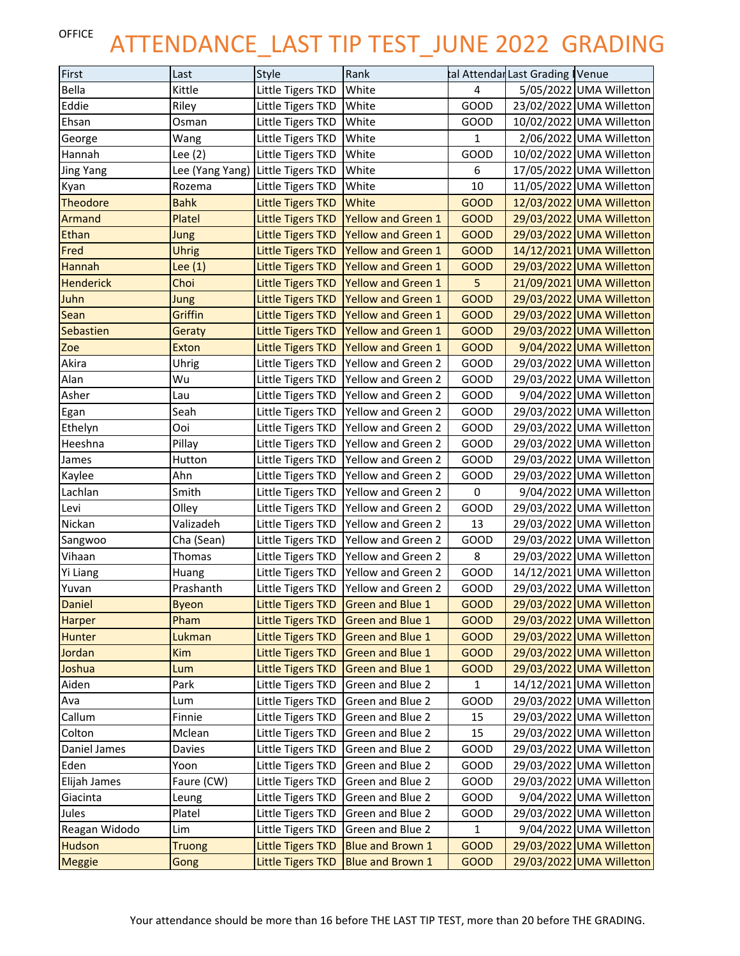## OFFICE ATTENDANCE\_LAST TIP TEST\_JUNE 2022 GRADING

| First            | Last            | Style                    | Rank                                 |              | tal Attendar Last Grading Venue    |
|------------------|-----------------|--------------------------|--------------------------------------|--------------|------------------------------------|
| Bella            | Kittle          | Little Tigers TKD        | White                                | 4            | 5/05/2022 UMA Willetton            |
| Eddie            | Riley           | Little Tigers TKD        | White                                | GOOD         | 23/02/2022 UMA Willetton           |
| Ehsan            | Osman           | Little Tigers TKD        | White                                | GOOD         | 10/02/2022 UMA Willetton           |
| George           | Wang            | Little Tigers TKD        | White                                | $\mathbf{1}$ | 2/06/2022 UMA Willetton            |
| Hannah           | Lee (2)         | Little Tigers TKD        | White                                | GOOD         | 10/02/2022 UMA Willetton           |
| <b>Jing Yang</b> | Lee (Yang Yang) | Little Tigers TKD        | White                                | 6            | 17/05/2022 UMA Willetton           |
| Kyan             | Rozema          | Little Tigers TKD        | White                                | 10           | 11/05/2022 UMA Willetton           |
| <b>Theodore</b>  | <b>Bahk</b>     | <b>Little Tigers TKD</b> | White                                | <b>GOOD</b>  | 12/03/2022 UMA Willetton           |
| Armand           | Platel          | <b>Little Tigers TKD</b> | Yellow and Green 1                   | <b>GOOD</b>  | 29/03/2022 UMA Willetton           |
| <b>Ethan</b>     | Jung            | Little Tigers TKD        | <b>Yellow and Green 1</b>            | <b>GOOD</b>  | 29/03/2022 UMA Willetton           |
| Fred             | <b>Uhrig</b>    | Little Tigers TKD        | <b>Yellow and Green 1</b>            | <b>GOOD</b>  | 14/12/2021 UMA Willetton           |
| <b>Hannah</b>    | Lee $(1)$       | Little Tigers TKD        | Yellow and Green 1                   | <b>GOOD</b>  | 29/03/2022 UMA Willetton           |
| <b>Henderick</b> | Choi            | <b>Little Tigers TKD</b> | <b>Yellow and Green 1</b>            | 5            | 21/09/2021 UMA Willetton           |
| Juhn             | Jung            | <b>Little Tigers TKD</b> | <b>Yellow and Green 1</b>            | <b>GOOD</b>  | 29/03/2022 UMA Willetton           |
| Sean             | Griffin         | Little Tigers TKD        | Yellow and Green 1                   | <b>GOOD</b>  | 29/03/2022 UMA Willetton           |
| Sebastien        | Geraty          | <b>Little Tigers TKD</b> | Yellow and Green 1                   | <b>GOOD</b>  | 29/03/2022 UMA Willetton           |
| Zoe              | <b>Exton</b>    | <b>Little Tigers TKD</b> | <b>Yellow and Green 1</b>            | <b>GOOD</b>  | 9/04/2022 UMA Willetton            |
| Akira            | Uhrig           | Little Tigers TKD        | Yellow and Green 2                   | GOOD         | 29/03/2022 UMA Willetton           |
| Alan             | Wu              | Little Tigers TKD        | Yellow and Green 2                   | GOOD         | 29/03/2022 UMA Willetton           |
| Asher            | Lau             | Little Tigers TKD        | Yellow and Green 2                   | GOOD         | 9/04/2022 UMA Willetton            |
| Egan             | Seah            | Little Tigers TKD        | Yellow and Green 2                   | GOOD         | 29/03/2022 UMA Willetton           |
| Ethelyn          | Ooi             | Little Tigers TKD        | Yellow and Green 2                   | GOOD         | 29/03/2022 UMA Willetton           |
| Heeshna          | Pillay          | Little Tigers TKD        | Yellow and Green 2                   | GOOD         | 29/03/2022 UMA Willetton           |
| James            | Hutton          | Little Tigers TKD        | Yellow and Green 2                   | GOOD         | 29/03/2022 UMA Willetton           |
| Kaylee           | Ahn             | Little Tigers TKD        | Yellow and Green 2                   | GOOD         | 29/03/2022 UMA Willetton           |
| Lachlan          | Smith           | Little Tigers TKD        | Yellow and Green 2                   | $\pmb{0}$    | 9/04/2022 UMA Willetton            |
| Levi             | Olley           | Little Tigers TKD        | Yellow and Green 2                   | GOOD         | 29/03/2022 UMA Willetton           |
| Nickan           | Valizadeh       | Little Tigers TKD        | Yellow and Green 2                   | 13           | 29/03/2022 UMA Willetton           |
| Sangwoo          | Cha (Sean)      | Little Tigers TKD        | Yellow and Green 2                   | GOOD         | 29/03/2022 UMA Willetton           |
| Vihaan           | Thomas          | Little Tigers TKD        | Yellow and Green 2                   | 8            | 29/03/2022 UMA Willetton           |
| Yi Liang         | Huang           | Little Tigers TKD        | Yellow and Green 2                   | GOOD         | 14/12/2021 UMA Willetton           |
| Yuvan            | Prashanth       |                          | Little Tigers TKD Yellow and Green 2 | GOOD         | 29/03/2022 UMA Willetton           |
| Daniel           | Byeon           |                          | Little Tigers TKD Green and Blue 1   | <b>GOOD</b>  | 29/03/2022 UMA Willetton           |
| <b>Harper</b>    | Pham            | <b>Little Tigers TKD</b> | <b>Green and Blue 1</b>              | <b>GOOD</b>  | 29/03/2022 UMA Willetton           |
| <b>Hunter</b>    | Lukman          | <b>Little Tigers TKD</b> | <b>Green and Blue 1</b>              | <b>GOOD</b>  | 29/03/2022<br><b>UMA Willetton</b> |
| Jordan           | Kim             | <b>Little Tigers TKD</b> | <b>Green and Blue 1</b>              | <b>GOOD</b>  | 29/03/2022 UMA Willetton           |
| Joshua           | Lum             | <b>Little Tigers TKD</b> | <b>Green and Blue 1</b>              | <b>GOOD</b>  | 29/03/2022 UMA Willetton           |
| Aiden            | Park            | Little Tigers TKD        | Green and Blue 2                     | 1            | 14/12/2021 UMA Willetton           |
| Ava              | Lum             | Little Tigers TKD        | Green and Blue 2                     | GOOD         | 29/03/2022 UMA Willetton           |
| Callum           | Finnie          | Little Tigers TKD        | Green and Blue 2                     | 15           | 29/03/2022<br><b>UMA Willetton</b> |
| Colton           | Mclean          | Little Tigers TKD        | Green and Blue 2                     | 15           | 29/03/2022 UMA Willetton           |
| Daniel James     | Davies          | Little Tigers TKD        | Green and Blue 2                     | GOOD         | 29/03/2022 UMA Willetton           |
| Eden             | Yoon            | Little Tigers TKD        | Green and Blue 2                     | GOOD         | 29/03/2022 UMA Willetton           |
| Elijah James     | Faure (CW)      | Little Tigers TKD        | Green and Blue 2                     | GOOD         | 29/03/2022<br><b>UMA Willetton</b> |
| Giacinta         | Leung           | Little Tigers TKD        | Green and Blue 2                     | GOOD         | 9/04/2022 UMA Willetton            |
| Jules            | Platel          | Little Tigers TKD        | Green and Blue 2                     | GOOD         | 29/03/2022 UMA Willetton           |
| Reagan Widodo    | Lim             | Little Tigers TKD        | Green and Blue 2                     | 1            | 9/04/2022 UMA Willetton            |
| <b>Hudson</b>    | <b>Truong</b>   | <b>Little Tigers TKD</b> | Blue and Brown 1                     | <b>GOOD</b>  | 29/03/2022 UMA Willetton           |
| <b>Meggie</b>    | Gong            | <b>Little Tigers TKD</b> | <b>Blue and Brown 1</b>              | <b>GOOD</b>  | 29/03/2022<br><b>UMA Willetton</b> |